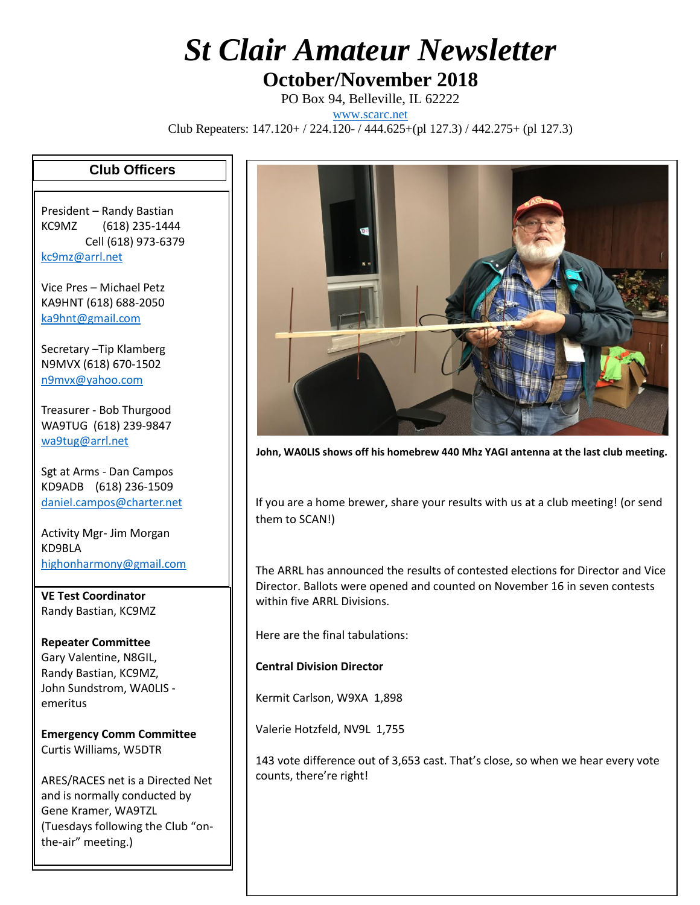## *St Clair Amateur Newsletter*

## **October/November 2018**

PO Box 94, Belleville, IL 62222

[www.scarc.net](http://www.scarc.net/)

Club Repeaters: 147.120+ / 224.120- / 444.625+(pl 127.3) / 442.275+ (pl 127.3)

## **Club Officers**

President – Randy Bastian KC9MZ (618) 235-1444 Cell (618) 973-6379 [kc9mz@arrl.net](mailto:kc9mz@arrl.net)

Vice Pres – Michael Petz KA9HNT (618) 688-2050 [ka9hnt@gmail.com](mailto:ka9hnt@gmail.com)

Secretary –Tip Klamberg N9MVX (618) 670-1502 [n9mvx@yahoo.com](mailto:n9mvx@yahoo.com)

Treasurer - Bob Thurgood WA9TUG (618) 239-9847 [wa9tug@arrl.net](mailto:wa9tug@arrl.net)

Sgt at Arms - Dan Campos KD9ADB (618) 236-1509 [daniel.campos@charter.net](mailto:daniel.campos@charter.net)

Activity Mgr- Jim Morgan KD9BLA [highonharmony@gmail.com](mailto:highonharmony@gmail.com)

**VE Test Coordinator** Randy Bastian, KC9MZ

**Repeater Committee** Gary Valentine, N8GIL, Randy Bastian, KC9MZ, John Sundstrom, WA0LIS emeritus

**Emergency Comm Committee** Curtis Williams, W5DTR

ARES/RACES net is a Directed Net and is normally conducted by Gene Kramer, WA9TZL (Tuesdays following the Club "onthe-air" meeting.)



**John, WA0LIS shows off his homebrew 440 Mhz YAGI antenna at the last club meeting.**

If you are a home brewer, share your results with us at a club meeting! (or send them to SCAN!)

The ARRL has announced the results of contested elections for Director and Vice Director. Ballots were opened and counted on November 16 in seven contests within five ARRL Divisions.

Here are the final tabulations:

**Central Division Director**

Kermit Carlson, W9XA 1,898

Valerie Hotzfeld, NV9L 1,755

143 vote difference out of 3,653 cast. That's close, so when we hear every vote counts, there're right!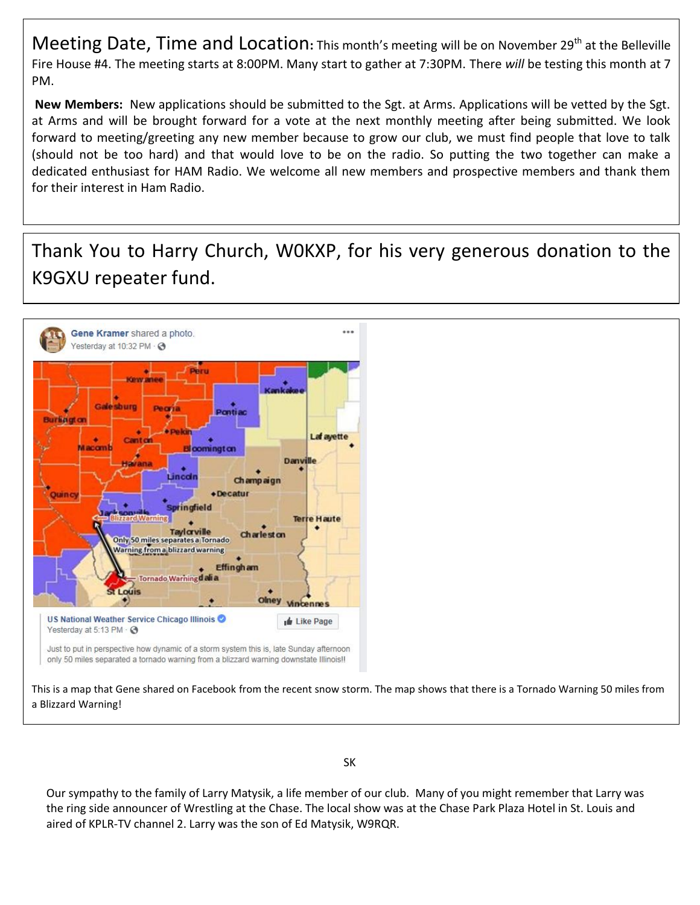Meeting Date, Time and Location: This month's meeting will be on November 29<sup>th</sup> at the Belleville Fire House #4. The meeting starts at 8:00PM. Many start to gather at 7:30PM. There *will* be testing this month at 7 PM.

**New Members:** New applications should be submitted to the Sgt. at Arms. Applications will be vetted by the Sgt. at Arms and will be brought forward for a vote at the next monthly meeting after being submitted. We look forward to meeting/greeting any new member because to grow our club, we must find people that love to talk (should not be too hard) and that would love to be on the radio. So putting the two together can make a dedicated enthusiast for HAM Radio. We welcome all new members and prospective members and thank them for their interest in Ham Radio.

Thank You to Harry Church, W0KXP, for his very generous donation to the K9GXU repeater fund.



Our sympathy to the family of Larry Matysik, a life member of our club. Many of you might remember that Larry was the ring side announcer of Wrestling at the Chase. The local show was at the Chase Park Plaza Hotel in St. Louis and aired of KPLR-TV channel 2. Larry was the son of Ed Matysik, W9RQR.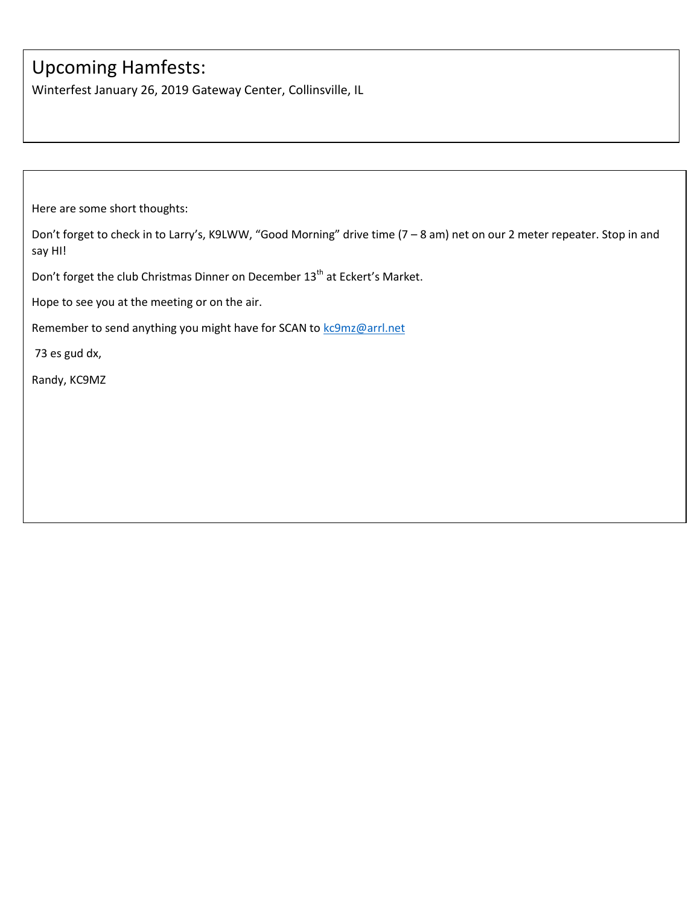## Upcoming Hamfests:

Winterfest January 26, 2019 Gateway Center, Collinsville, IL

Here are some short thoughts:

Don't forget to check in to Larry's, K9LWW, "Good Morning" drive time (7 – 8 am) net on our 2 meter repeater. Stop in and say HI!

Don't forget the club Christmas Dinner on December 13<sup>th</sup> at Eckert's Market.

Hope to see you at the meeting or on the air.

Remember to send anything you might have for SCAN to [kc9mz@arrl.net](mailto:kc9mz@arrl.net)

73 es gud dx,

Randy, KC9MZ